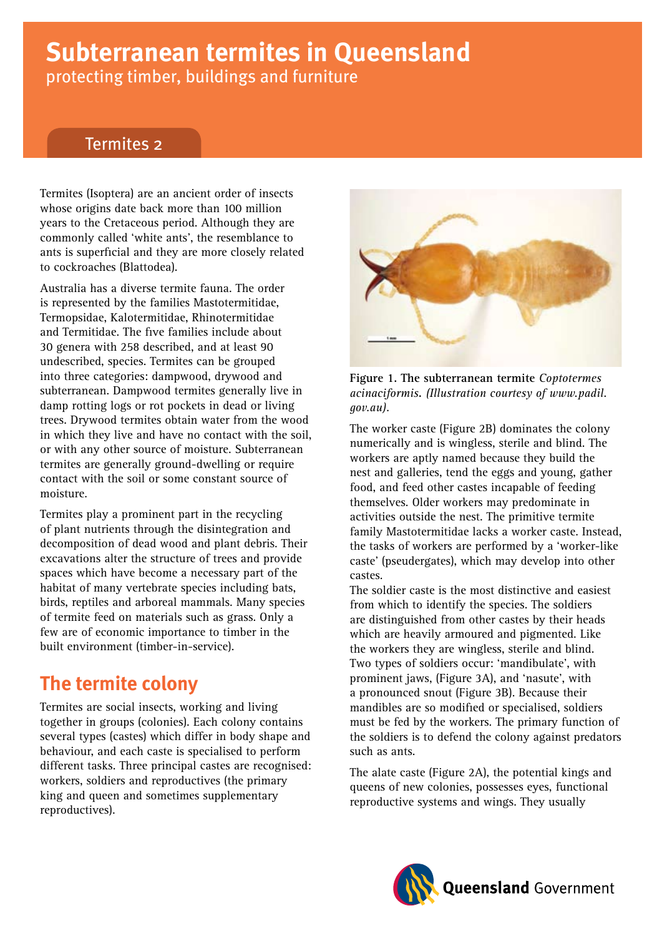# **Subterranean termites in Queensland** protecting timber, buildings and furniture

### Termites 2

Termites (Isoptera) are an ancient order of insects whose origins date back more than 100 million years to the Cretaceous period. Although they are commonly called 'white ants', the resemblance to ants is superficial and they are more closely related to cockroaches (Blattodea).

Australia has a diverse termite fauna. The order is represented by the families Mastotermitidae, Termopsidae, Kalotermitidae, Rhinotermitidae and Termitidae. The five families include about 30 genera with 258 described, and at least 90 undescribed, species. Termites can be grouped into three categories: dampwood, drywood and subterranean. Dampwood termites generally live in damp rotting logs or rot pockets in dead or living trees. Drywood termites obtain water from the wood in which they live and have no contact with the soil, or with any other source of moisture. Subterranean termites are generally ground-dwelling or require contact with the soil or some constant source of moisture.

Termites play a prominent part in the recycling of plant nutrients through the disintegration and decomposition of dead wood and plant debris. Their excavations alter the structure of trees and provide spaces which have become a necessary part of the habitat of many vertebrate species including bats, birds, reptiles and arboreal mammals. Many species of termite feed on materials such as grass. Only a few are of economic importance to timber in the built environment (timber-in-service).

# **The termite colony**

Termites are social insects, working and living together in groups (colonies). Each colony contains several types (castes) which differ in body shape and behaviour, and each caste is specialised to perform different tasks. Three principal castes are recognised: workers, soldiers and reproductives (the primary king and queen and sometimes supplementary reproductives).



*acinaciformis***.** *(Illustration courtesy of www.padil. gov.au).* **Figure 1. The subterranean termite** *Coptotermes* 

The worker caste (Figure 2B) dominates the colony numerically and is wingless, sterile and blind. The workers are aptly named because they build the nest and galleries, tend the eggs and young, gather food, and feed other castes incapable of feeding themselves. Older workers may predominate in activities outside the nest. The primitive termite family Mastotermitidae lacks a worker caste. Instead, the tasks of workers are performed by a 'worker-like caste' (pseudergates), which may develop into other castes.

The soldier caste is the most distinctive and easiest from which to identify the species. The soldiers are distinguished from other castes by their heads which are heavily armoured and pigmented. Like the workers they are wingless, sterile and blind. Two types of soldiers occur: 'mandibulate', with prominent jaws, (Figure 3A), and 'nasute', with a pronounced snout (Figure 3B). Because their mandibles are so modified or specialised, soldiers must be fed by the workers. The primary function of the soldiers is to defend the colony against predators such as ants.

The alate caste (Figure 2A), the potential kings and queens of new colonies, possesses eyes, functional reproductive systems and wings. They usually

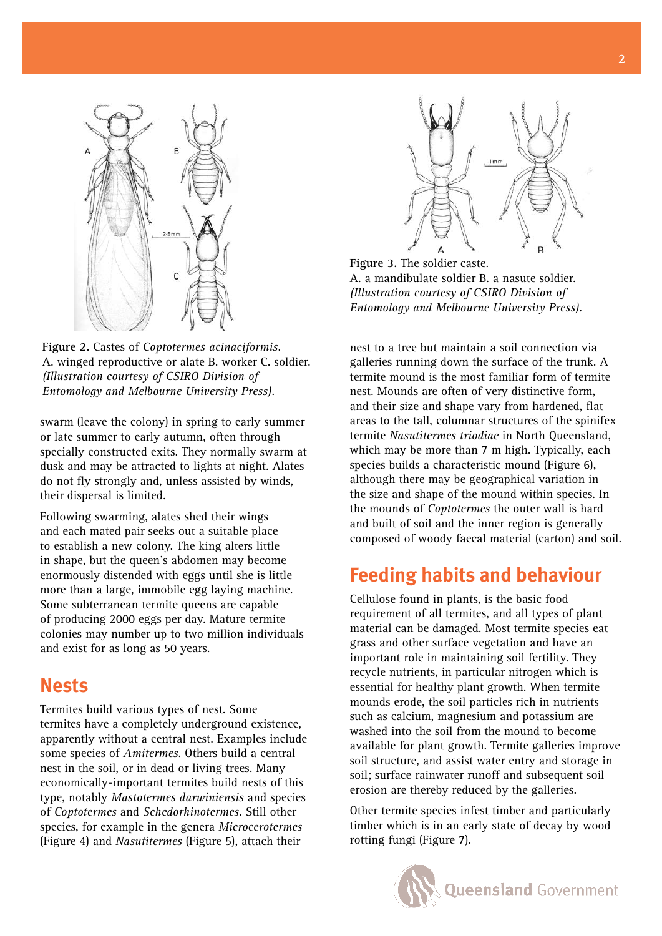

**Figure .** Castes of *Coptotermes acinaciformis.* A. winged reproductive or alate B. worker C. soldier. *(Illustration courtesy of CSIRO Division of Entomology and Melbourne University Press).*

swarm (leave the colony) in spring to early summer or late summer to early autumn, often through specially constructed exits. They normally swarm at dusk and may be attracted to lights at night. Alates do not fly strongly and, unless assisted by winds, their dispersal is limited.

Following swarming, alates shed their wings and each mated pair seeks out a suitable place to establish a new colony. The king alters little in shape, but the queen's abdomen may become enormously distended with eggs until she is little more than a large, immobile egg laying machine. Some subterranean termite queens are capable of producing 2000 eggs per day. Mature termite colonies may number up to two million individuals and exist for as long as 50 years.

### **Nests**

Termites build various types of nest. Some termites have a completely underground existence, apparently without a central nest. Examples include some species of *Amitermes*. Others build a central nest in the soil, or in dead or living trees. Many economically-important termites build nests of this type, notably *Mastotermes darwiniensis* and species of *Coptotermes* and *Schedorhinotermes*. Still other species, for example in the genera *Microcerotermes* (Figure 4) and *Nasutitermes* (Figure 5), attach their



**Figure 3.** The soldier caste. A. a mandibulate soldier B. a nasute soldier. *(Illustration courtesy of CSIRO Division of Entomology and Melbourne University Press).*

nest to a tree but maintain a soil connection via galleries running down the surface of the trunk. A termite mound is the most familiar form of termite nest. Mounds are often of very distinctive form, and their size and shape vary from hardened, flat areas to the tall, columnar structures of the spinifex termite *Nasutitermes triodiae* in North Queensland, which may be more than 7 m high. Typically, each species builds a characteristic mound (Figure 6), although there may be geographical variation in the size and shape of the mound within species. In the mounds of *Coptotermes* the outer wall is hard and built of soil and the inner region is generally composed of woody faecal material (carton) and soil.

# **Feeding habits and behaviour**

Cellulose found in plants, is the basic food requirement of all termites, and all types of plant material can be damaged. Most termite species eat grass and other surface vegetation and have an important role in maintaining soil fertility. They recycle nutrients, in particular nitrogen which is essential for healthy plant growth. When termite mounds erode, the soil particles rich in nutrients such as calcium, magnesium and potassium are washed into the soil from the mound to become available for plant growth. Termite galleries improve soil structure, and assist water entry and storage in soil; surface rainwater runoff and subsequent soil erosion are thereby reduced by the galleries.

Other termite species infest timber and particularly timber which is in an early state of decay by wood rotting fungi (Figure 7).

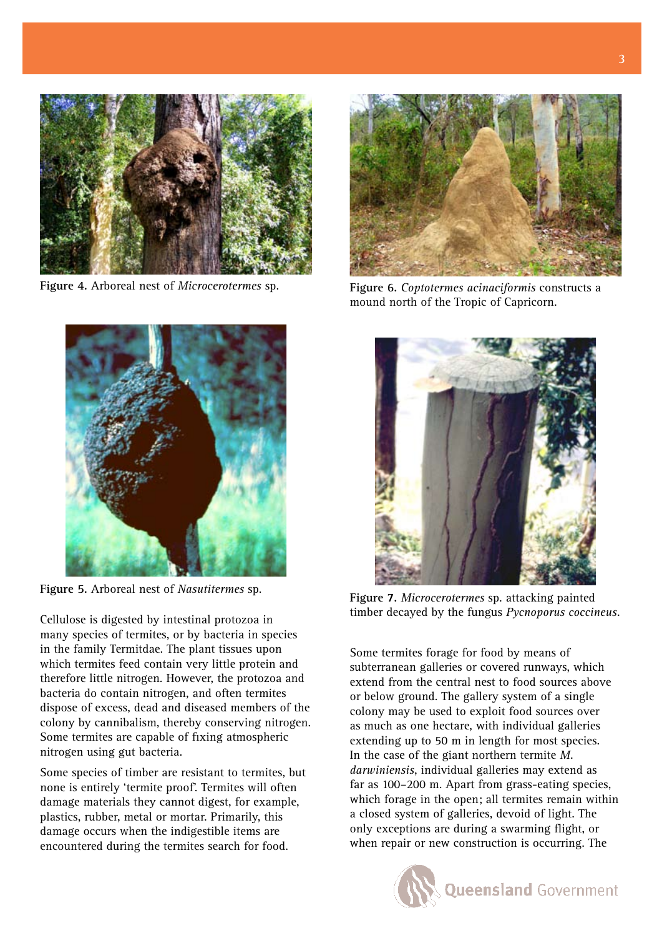

**Figure 4.** Arboreal nest of *Microcerotermes* sp.



**Figure 5.** Arboreal nest of *Nasutitermes* sp.

many species of termites, or by bacteria in species in the family Termitdae. The plant tissues upon which termites feed contain very little protein and therefore little nitrogen. However, the protozoa and bacteria do contain nitrogen, and often termites dispose of excess, dead and diseased members of the colony by cannibalism, thereby conserving nitrogen. Some termites are capable of fixing atmospheric nitrogen using gut bacteria.

Some species of timber are resistant to termites, but none is entirely 'termite proof'. Termites will often damage materials they cannot digest, for example, plastics, rubber, metal or mortar. Primarily, this damage occurs when the indigestible items are encountered during the termites search for food.



**Figure 6.** *Coptotermes acinaciformis* constructs a mound north of the Tropic of Capricorn.



**Figure 7.** *Microcerotermes* sp. attacking painted timber decayed by the fungus *Pycnoporus coccineus.* Cellulose is digested by intestinal protozoa in

Some termites forage for food by means of subterranean galleries or covered runways, which extend from the central nest to food sources above or below ground. The gallery system of a single colony may be used to exploit food sources over as much as one hectare, with individual galleries extending up to 50 m in length for most species. In the case of the giant northern termite *M. darwiniensis*, individual galleries may extend as far as 100–200 m. Apart from grass-eating species, which forage in the open; all termites remain within a closed system of galleries, devoid of light. The only exceptions are during a swarming flight, or when repair or new construction is occurring. The